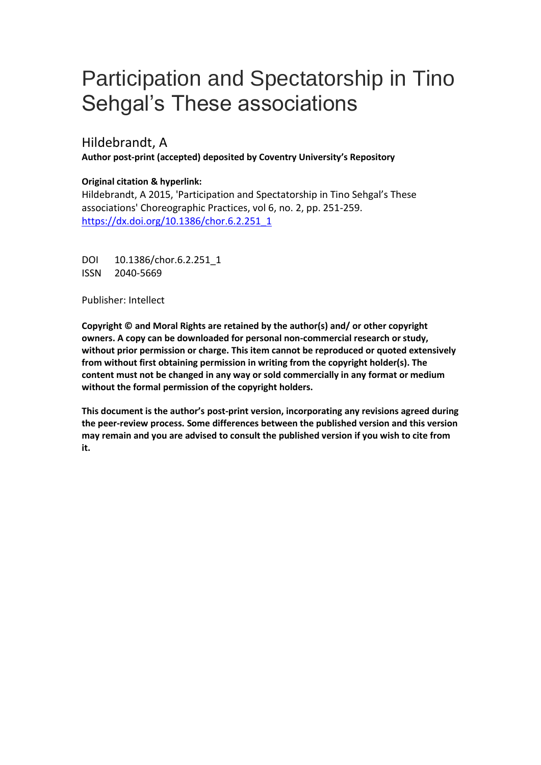# Participation and Spectatorship in Tino Sehgal's These associations

Hildebrandt, A

**Author post-print (accepted) deposited by Coventry University's Repository**

## **Original citation & hyperlink:**

Hildebrandt, A 2015, 'Participation and Spectatorship in Tino Sehgal's These associations' Choreographic Practices, vol 6, no. 2, pp. 251-259. [https://dx.doi.org/10.1386/chor.6.2.251\\_1](https://dx.doi.org/10.1386/chor.6.2.251_1)

DOI 10.1386/chor.6.2.251\_1 ISSN 2040-5669

Publisher: Intellect

**Copyright © and Moral Rights are retained by the author(s) and/ or other copyright owners. A copy can be downloaded for personal non-commercial research or study, without prior permission or charge. This item cannot be reproduced or quoted extensively from without first obtaining permission in writing from the copyright holder(s). The content must not be changed in any way or sold commercially in any format or medium without the formal permission of the copyright holders.** 

**This document is the author's post-print version, incorporating any revisions agreed during the peer-review process. Some differences between the published version and this version may remain and you are advised to consult the published version if you wish to cite from it.**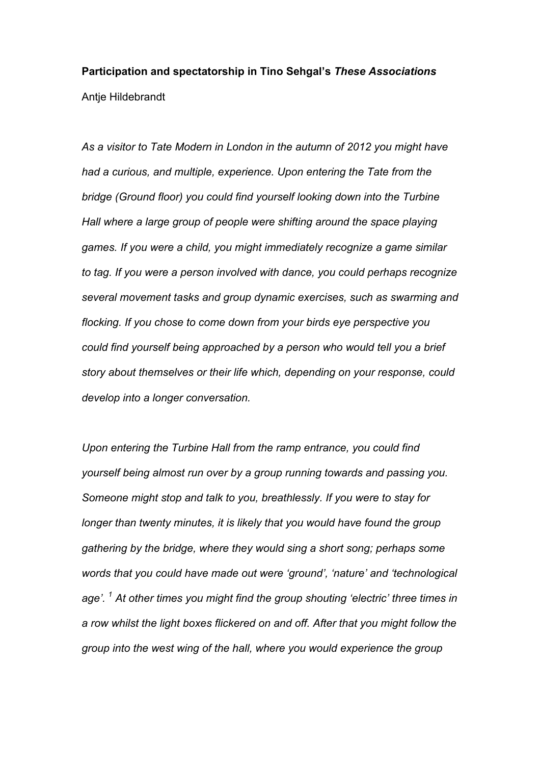# **Participation and spectatorship in Tino Sehgal's** *These Associations* Antje Hildebrandt

*As a visitor to Tate Modern in London in the autumn of 2012 you might have had a curious, and multiple, experience. Upon entering the Tate from the bridge (Ground floor) you could find yourself looking down into the Turbine Hall where a large group of people were shifting around the space playing games. If you were a child, you might immediately recognize a game similar to tag. If you were a person involved with dance, you could perhaps recognize several movement tasks and group dynamic exercises, such as swarming and flocking. If you chose to come down from your birds eye perspective you could find yourself being approached by a person who would tell you a brief story about themselves or their life which, depending on your response, could develop into a longer conversation.*

*Upon entering the Turbine Hall from the ramp entrance, you could find yourself being almost run over by a group running towards and passing you. Someone might stop and talk to you, breathlessly. If you were to stay for longer than twenty minutes, it is likely that you would have found the group gathering by the bridge, where they would sing a short song; perhaps some words that you could have made out were 'ground', 'nature' and 'technological age'. 1 At other times you might find the group shouting 'electric' three times in a row whilst the light boxes flickered on and off. After that you might follow the group into the west wing of the hall, where you would experience the group*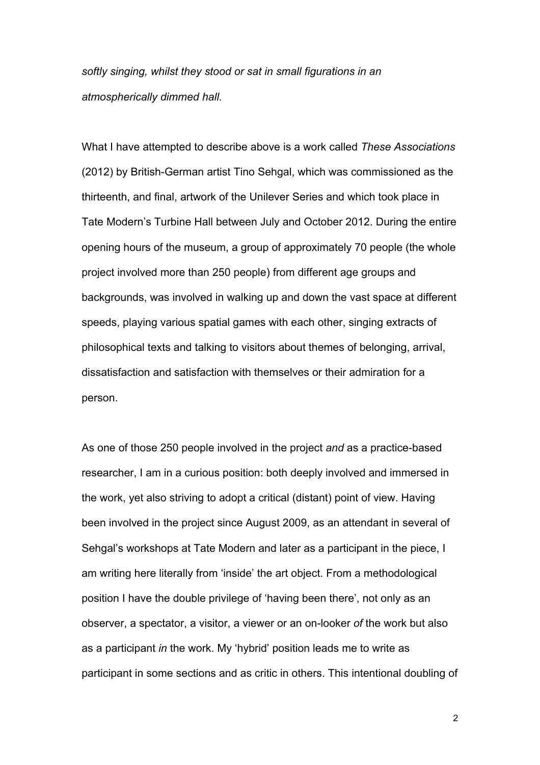*softly singing, whilst they stood or sat in small figurations in an atmospherically dimmed hall.*

What I have attempted to describe above is a work called *These Associations* (2012) by British-German artist Tino Sehgal, which was commissioned as the thirteenth, and final, artwork of the Unilever Series and which took place in Tate Modern's Turbine Hall between July and October 2012. During the entire opening hours of the museum, a group of approximately 70 people (the whole project involved more than 250 people) from different age groups and backgrounds, was involved in walking up and down the vast space at different speeds, playing various spatial games with each other, singing extracts of philosophical texts and talking to visitors about themes of belonging, arrival, dissatisfaction and satisfaction with themselves or their admiration for a person.

As one of those 250 people involved in the project *and* as a practice-based researcher, I am in a curious position: both deeply involved and immersed in the work, yet also striving to adopt a critical (distant) point of view. Having been involved in the project since August 2009, as an attendant in several of Sehgal's workshops at Tate Modern and later as a participant in the piece, I am writing here literally from 'inside' the art object. From a methodological position I have the double privilege of 'having been there', not only as an observer, a spectator, a visitor, a viewer or an on-looker *of* the work but also as a participant *in* the work. My 'hybrid' position leads me to write as participant in some sections and as critic in others. This intentional doubling of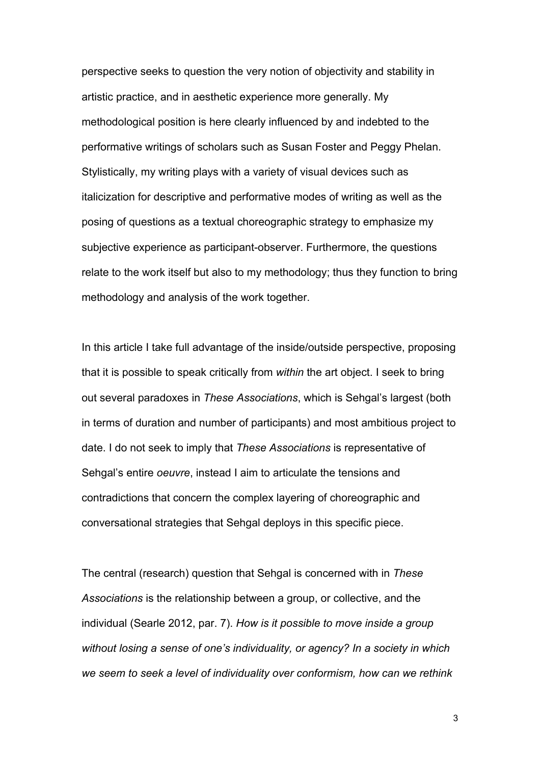perspective seeks to question the very notion of objectivity and stability in artistic practice, and in aesthetic experience more generally. My methodological position is here clearly influenced by and indebted to the performative writings of scholars such as Susan Foster and Peggy Phelan. Stylistically, my writing plays with a variety of visual devices such as italicization for descriptive and performative modes of writing as well as the posing of questions as a textual choreographic strategy to emphasize my subjective experience as participant-observer. Furthermore, the questions relate to the work itself but also to my methodology; thus they function to bring methodology and analysis of the work together.

In this article I take full advantage of the inside/outside perspective, proposing that it is possible to speak critically from *within* the art object. I seek to bring out several paradoxes in *These Associations*, which is Sehgal's largest (both in terms of duration and number of participants) and most ambitious project to date. I do not seek to imply that *These Associations* is representative of Sehgal's entire *oeuvre*, instead I aim to articulate the tensions and contradictions that concern the complex layering of choreographic and conversational strategies that Sehgal deploys in this specific piece.

The central (research) question that Sehgal is concerned with in *These Associations* is the relationship between a group, or collective, and the individual (Searle 2012, par. 7). *How is it possible to move inside a group without losing a sense of one's individuality, or agency? In a society in which we seem to seek a level of individuality over conformism, how can we rethink*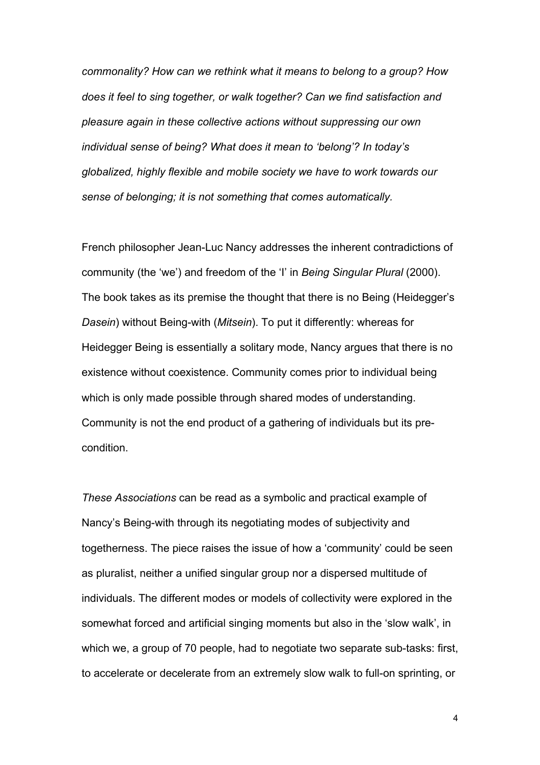*commonality? How can we rethink what it means to belong to a group? How does it feel to sing together, or walk together? Can we find satisfaction and pleasure again in these collective actions without suppressing our own individual sense of being? What does it mean to 'belong'? In today's globalized, highly flexible and mobile society we have to work towards our sense of belonging; it is not something that comes automatically.*

French philosopher Jean-Luc Nancy addresses the inherent contradictions of community (the 'we') and freedom of the 'I' in *Being Singular Plural* (2000). The book takes as its premise the thought that there is no Being (Heidegger's *Dasein*) without Being-with (*Mitsein*). To put it differently: whereas for Heidegger Being is essentially a solitary mode, Nancy argues that there is no existence without coexistence. Community comes prior to individual being which is only made possible through shared modes of understanding. Community is not the end product of a gathering of individuals but its precondition.

*These Associations* can be read as a symbolic and practical example of Nancy's Being-with through its negotiating modes of subjectivity and togetherness. The piece raises the issue of how a 'community' could be seen as pluralist, neither a unified singular group nor a dispersed multitude of individuals. The different modes or models of collectivity were explored in the somewhat forced and artificial singing moments but also in the 'slow walk', in which we, a group of 70 people, had to negotiate two separate sub-tasks: first, to accelerate or decelerate from an extremely slow walk to full-on sprinting, or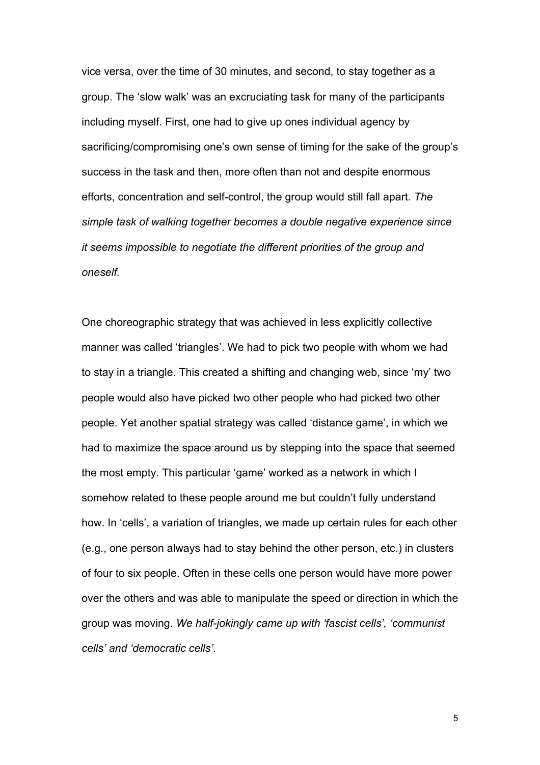vice versa, over the time of 30 minutes, and second, to stay together as a group. The 'slow walk' was an excruciating task for many of the participants including myself. First, one had to give up ones individual agency by sacrificing/compromising one's own sense of timing for the sake of the group's success in the task and then, more often than not and despite enormous efforts, concentration and self-control, the group would still fall apart. *The simple task of walking together becomes a double negative experience since it seems impossible to negotiate the different priorities of the group and oneself.* 

One choreographic strategy that was achieved in less explicitly collective manner was called 'triangles'. We had to pick two people with whom we had to stay in a triangle. This created a shifting and changing web, since 'my' two people would also have picked two other people who had picked two other people. Yet another spatial strategy was called 'distance game', in which we had to maximize the space around us by stepping into the space that seemed the most empty. This particular 'game' worked as a network in which I somehow related to these people around me but couldn't fully understand how. In 'cells', a variation of triangles, we made up certain rules for each other (e.g., one person always had to stay behind the other person, etc.) in clusters of four to six people. Often in these cells one person would have more power over the others and was able to manipulate the speed or direction in which the group was moving. *We half-jokingly came up with 'fascist cells', 'communist cells' and 'democratic cells'*.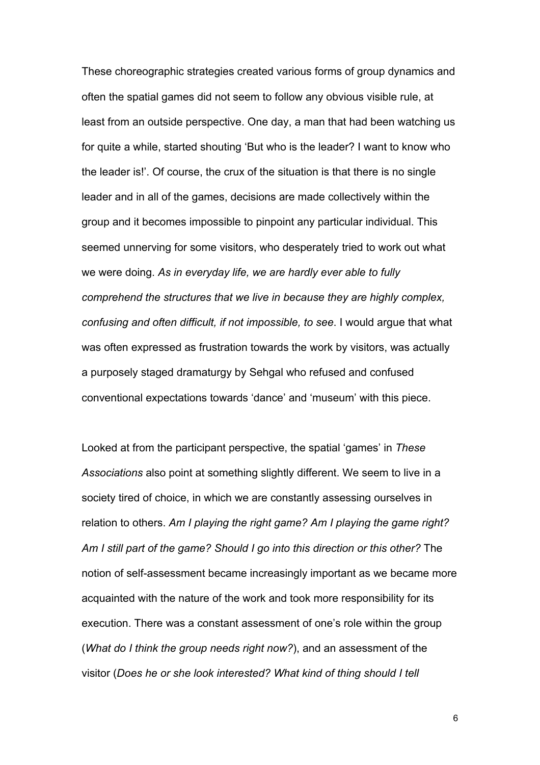These choreographic strategies created various forms of group dynamics and often the spatial games did not seem to follow any obvious visible rule, at least from an outside perspective. One day, a man that had been watching us for quite a while, started shouting 'But who is the leader? I want to know who the leader is!'. Of course, the crux of the situation is that there is no single leader and in all of the games, decisions are made collectively within the group and it becomes impossible to pinpoint any particular individual. This seemed unnerving for some visitors, who desperately tried to work out what we were doing. *As in everyday life, we are hardly ever able to fully comprehend the structures that we live in because they are highly complex, confusing and often difficult, if not impossible, to see*. I would argue that what was often expressed as frustration towards the work by visitors, was actually a purposely staged dramaturgy by Sehgal who refused and confused conventional expectations towards 'dance' and 'museum' with this piece.

Looked at from the participant perspective, the spatial 'games' in *These Associations* also point at something slightly different. We seem to live in a society tired of choice, in which we are constantly assessing ourselves in relation to others. *Am I playing the right game? Am I playing the game right? Am I still part of the game? Should I go into this direction or this other?* The notion of self-assessment became increasingly important as we became more acquainted with the nature of the work and took more responsibility for its execution. There was a constant assessment of one's role within the group (*What do I think the group needs right now?*), and an assessment of the visitor (*Does he or she look interested? What kind of thing should I tell*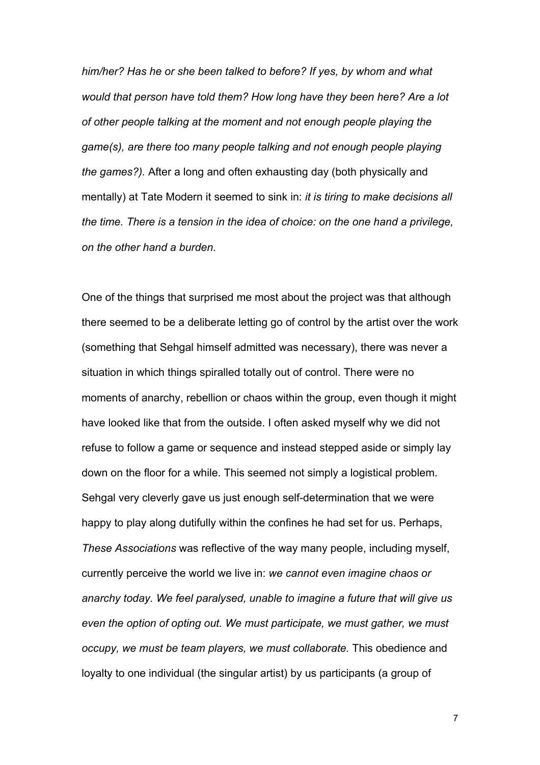*him/her? Has he or she been talked to before? If yes, by whom and what would that person have told them? How long have they been here? Are a lot of other people talking at the moment and not enough people playing the game(s), are there too many people talking and not enough people playing the games?).* After a long and often exhausting day (both physically and mentally) at Tate Modern it seemed to sink in: *it is tiring to make decisions all the time. There is a tension in the idea of choice: on the one hand a privilege, on the other hand a burden.*

One of the things that surprised me most about the project was that although there seemed to be a deliberate letting go of control by the artist over the work (something that Sehgal himself admitted was necessary), there was never a situation in which things spiralled totally out of control. There were no moments of anarchy, rebellion or chaos within the group, even though it might have looked like that from the outside. I often asked myself why we did not refuse to follow a game or sequence and instead stepped aside or simply lay down on the floor for a while. This seemed not simply a logistical problem. Sehgal very cleverly gave us just enough self-determination that we were happy to play along dutifully within the confines he had set for us. Perhaps, *These Associations* was reflective of the way many people, including myself, currently perceive the world we live in: *we cannot even imagine chaos or anarchy today. We feel paralysed, unable to imagine a future that will give us even the option of opting out. We must participate, we must gather, we must occupy, we must be team players, we must collaborate.* This obedience and loyalty to one individual (the singular artist) by us participants (a group of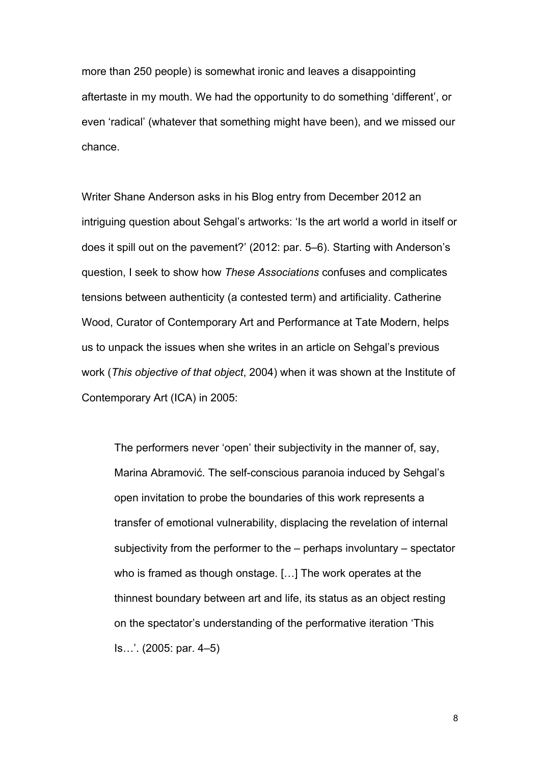more than 250 people) is somewhat ironic and leaves a disappointing aftertaste in my mouth. We had the opportunity to do something 'different', or even 'radical' (whatever that something might have been), and we missed our chance.

Writer Shane Anderson asks in his Blog entry from December 2012 an intriguing question about Sehgal's artworks: 'Is the art world a world in itself or does it spill out on the pavement?' (2012: par. 5–6). Starting with Anderson's question, I seek to show how *These Associations* confuses and complicates tensions between authenticity (a contested term) and artificiality. Catherine Wood, Curator of Contemporary Art and Performance at Tate Modern, helps us to unpack the issues when she writes in an article on Sehgal's previous work (*This objective of that object*, 2004) when it was shown at the Institute of Contemporary Art (ICA) in 2005:

The performers never 'open' their subjectivity in the manner of, say, Marina Abramović. The self-conscious paranoia induced by Sehgal's open invitation to probe the boundaries of this work represents a transfer of emotional vulnerability, displacing the revelation of internal subjectivity from the performer to the – perhaps involuntary – spectator who is framed as though onstage. […] The work operates at the thinnest boundary between art and life, its status as an object resting on the spectator's understanding of the performative iteration 'This Is…'. (2005: par. 4–5)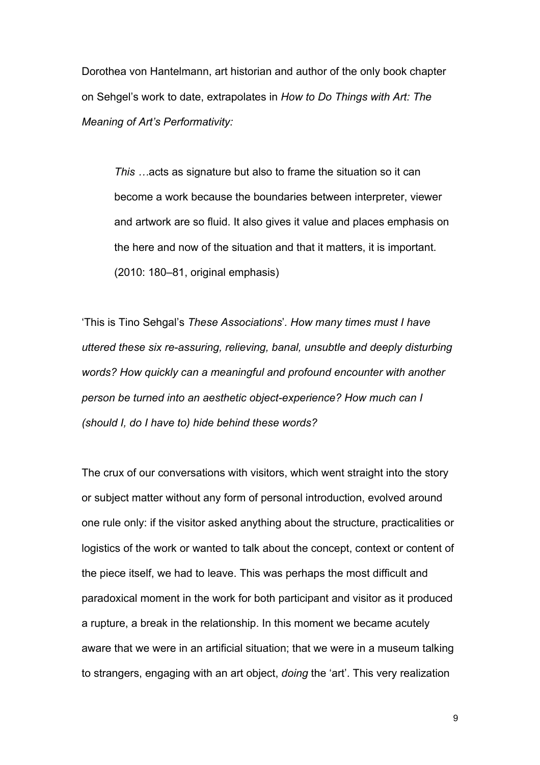Dorothea von Hantelmann, art historian and author of the only book chapter on Sehgel's work to date, extrapolates in *How to Do Things with Art: The Meaning of Art's Performativity:*

*This …*acts as signature but also to frame the situation so it can become a work because the boundaries between interpreter, viewer and artwork are so fluid. It also gives it value and places emphasis on the here and now of the situation and that it matters, it is important. (2010: 180–81, original emphasis)

'This is Tino Sehgal's *These Associations*'*. How many times must I have uttered these six re-assuring, relieving, banal, unsubtle and deeply disturbing words? How quickly can a meaningful and profound encounter with another person be turned into an aesthetic object-experience? How much can I (should I, do I have to) hide behind these words?*

The crux of our conversations with visitors, which went straight into the story or subject matter without any form of personal introduction, evolved around one rule only: if the visitor asked anything about the structure, practicalities or logistics of the work or wanted to talk about the concept, context or content of the piece itself, we had to leave. This was perhaps the most difficult and paradoxical moment in the work for both participant and visitor as it produced a rupture, a break in the relationship. In this moment we became acutely aware that we were in an artificial situation; that we were in a museum talking to strangers, engaging with an art object, *doing* the 'art'. This very realization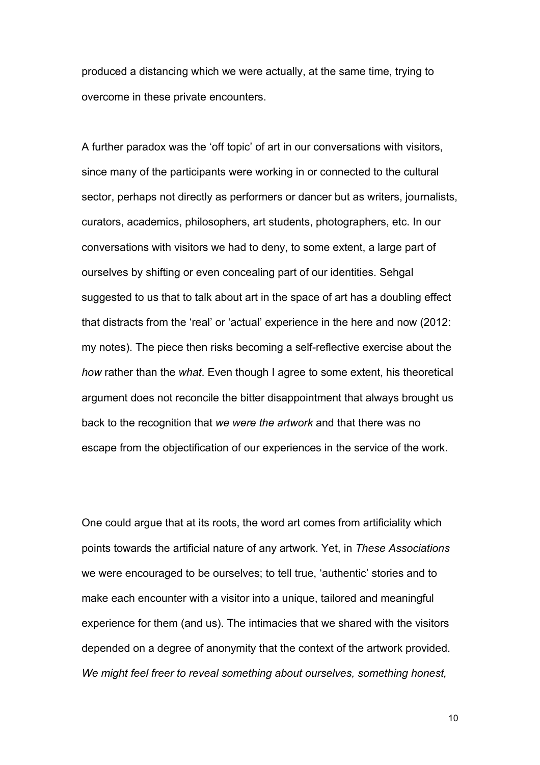produced a distancing which we were actually, at the same time, trying to overcome in these private encounters.

A further paradox was the 'off topic' of art in our conversations with visitors, since many of the participants were working in or connected to the cultural sector, perhaps not directly as performers or dancer but as writers, journalists, curators, academics, philosophers, art students, photographers, etc. In our conversations with visitors we had to deny, to some extent, a large part of ourselves by shifting or even concealing part of our identities. Sehgal suggested to us that to talk about art in the space of art has a doubling effect that distracts from the 'real' or 'actual' experience in the here and now (2012: my notes). The piece then risks becoming a self-reflective exercise about the *how* rather than the *what*. Even though I agree to some extent, his theoretical argument does not reconcile the bitter disappointment that always brought us back to the recognition that *we were the artwork* and that there was no escape from the objectification of our experiences in the service of the work.

One could argue that at its roots, the word art comes from artificiality which points towards the artificial nature of any artwork. Yet, in *These Associations* we were encouraged to be ourselves; to tell true, 'authentic' stories and to make each encounter with a visitor into a unique, tailored and meaningful experience for them (and us). The intimacies that we shared with the visitors depended on a degree of anonymity that the context of the artwork provided. *We might feel freer to reveal something about ourselves, something honest,*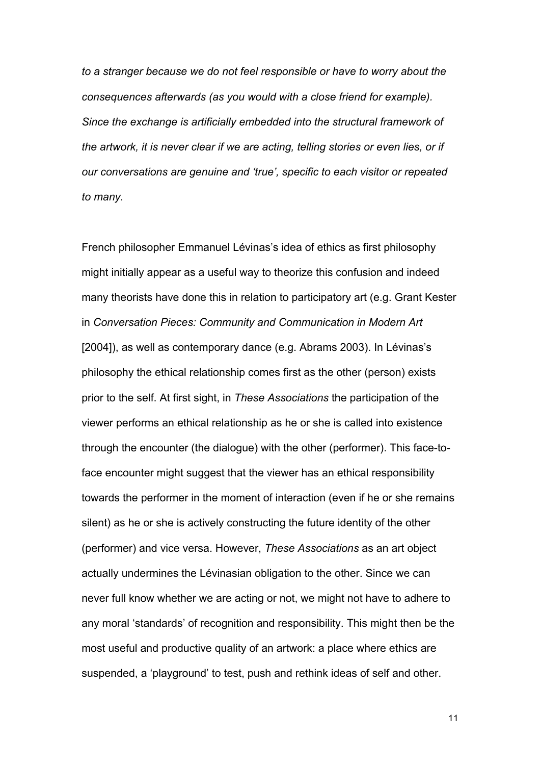*to a stranger because we do not feel responsible or have to worry about the consequences afterwards (as you would with a close friend for example). Since the exchange is artificially embedded into the structural framework of the artwork, it is never clear if we are acting, telling stories or even lies, or if our conversations are genuine and 'true', specific to each visitor or repeated to many.*

French philosopher Emmanuel Lévinas's idea of ethics as first philosophy might initially appear as a useful way to theorize this confusion and indeed many theorists have done this in relation to participatory art (e.g. Grant Kester in *Conversation Pieces: Community and Communication in Modern Art*  [2004]), as well as contemporary dance (e.g. Abrams 2003). In Lévinas's philosophy the ethical relationship comes first as the other (person) exists prior to the self. At first sight, in *These Associations* the participation of the viewer performs an ethical relationship as he or she is called into existence through the encounter (the dialogue) with the other (performer). This face-toface encounter might suggest that the viewer has an ethical responsibility towards the performer in the moment of interaction (even if he or she remains silent) as he or she is actively constructing the future identity of the other (performer) and vice versa. However, *These Associations* as an art object actually undermines the Lévinasian obligation to the other. Since we can never full know whether we are acting or not, we might not have to adhere to any moral 'standards' of recognition and responsibility. This might then be the most useful and productive quality of an artwork: a place where ethics are suspended, a 'playground' to test, push and rethink ideas of self and other.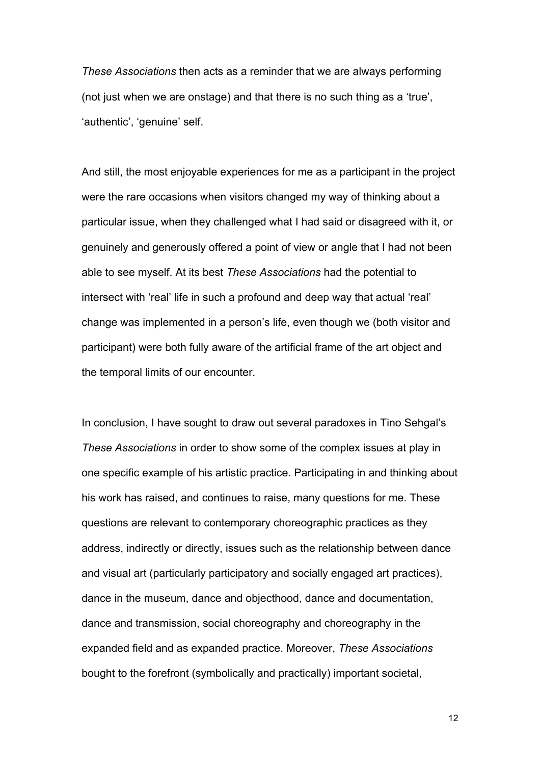*These Associations* then acts as a reminder that we are always performing (not just when we are onstage) and that there is no such thing as a 'true', 'authentic', 'genuine' self.

And still, the most enjoyable experiences for me as a participant in the project were the rare occasions when visitors changed my way of thinking about a particular issue, when they challenged what I had said or disagreed with it, or genuinely and generously offered a point of view or angle that I had not been able to see myself. At its best *These Associations* had the potential to intersect with 'real' life in such a profound and deep way that actual 'real' change was implemented in a person's life, even though we (both visitor and participant) were both fully aware of the artificial frame of the art object and the temporal limits of our encounter.

In conclusion, I have sought to draw out several paradoxes in Tino Sehgal's *These Associations* in order to show some of the complex issues at play in one specific example of his artistic practice. Participating in and thinking about his work has raised, and continues to raise, many questions for me. These questions are relevant to contemporary choreographic practices as they address, indirectly or directly, issues such as the relationship between dance and visual art (particularly participatory and socially engaged art practices), dance in the museum, dance and objecthood, dance and documentation, dance and transmission, social choreography and choreography in the expanded field and as expanded practice. Moreover, *These Associations* bought to the forefront (symbolically and practically) important societal,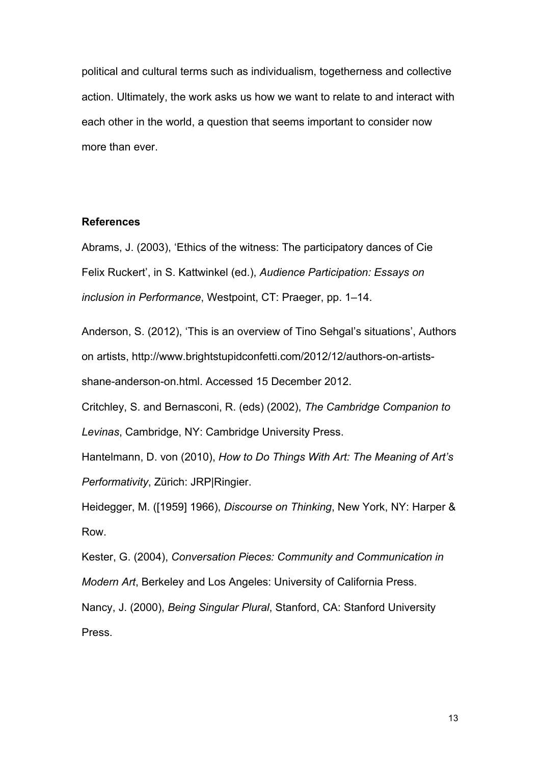political and cultural terms such as individualism, togetherness and collective action. Ultimately, the work asks us how we want to relate to and interact with each other in the world, a question that seems important to consider now more than ever.

#### **References**

Abrams, J. (2003), 'Ethics of the witness: The participatory dances of Cie Felix Ruckert', in S. Kattwinkel (ed.), *Audience Participation: Essays on inclusion in Performance*, Westpoint, CT: Praeger, pp. 1–14.

Anderson, S. (2012), 'This is an overview of Tino Sehgal's situations', Authors on artists, http://www.brightstupidconfetti.com/2012/12/authors-on-artistsshane-anderson-on.html. Accessed 15 December 2012.

Critchley, S. and Bernasconi, R. (eds) (2002), *The Cambridge Companion to Levinas*, Cambridge, NY: Cambridge University Press.

Hantelmann, D. von (2010), *How to Do Things With Art: The Meaning of Art's Performativity*, Zürich: JRP|Ringier.

Heidegger, M. ([1959] 1966), *Discourse on Thinking*, New York, NY: Harper & Row.

Kester, G. (2004), *Conversation Pieces: Community and Communication in Modern Art*, Berkeley and Los Angeles: University of California Press. Nancy, J. (2000), *Being Singular Plural*, Stanford, CA: Stanford University Press.